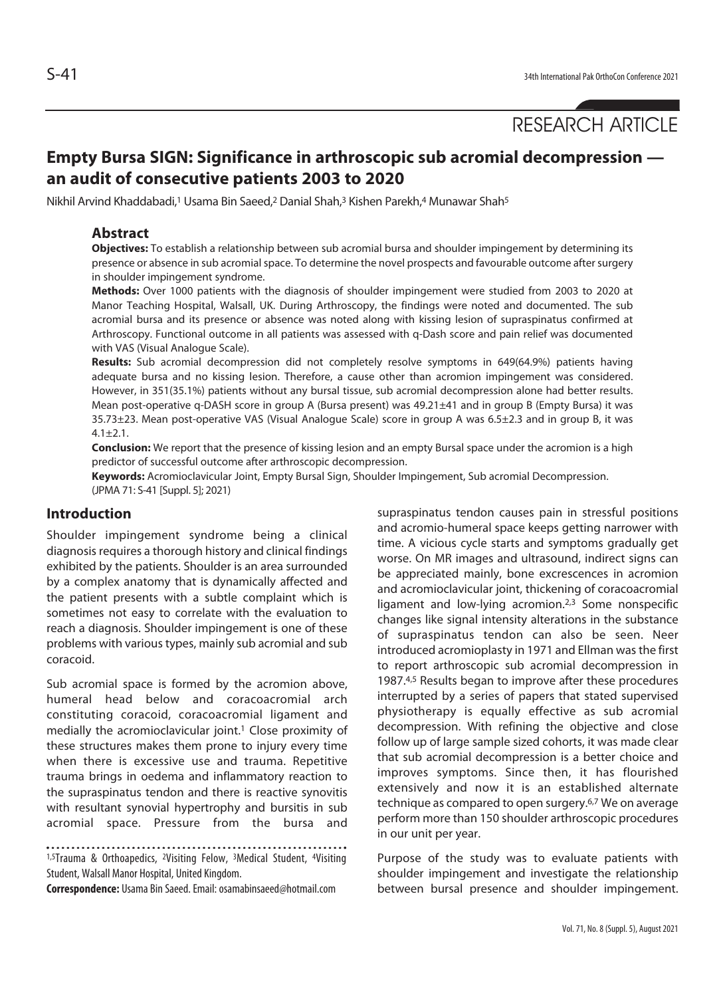# **Empty Bursa SIGN: Significance in arthroscopic sub acromial decompression an audit of consecutive patients 2003 to 2020**

Nikhil Arvind Khaddabadi,<sup>1</sup> Usama Bin Saeed,<sup>2</sup> Danial Shah,<sup>3</sup> Kishen Parekh,<sup>4</sup> Munawar Shah<sup>5</sup>

#### **Abstract**

**Objectives:** To establish a relationship between sub acromial bursa and shoulder impingement by determining its presence or absence in sub acromial space. To determine the novel prospects and favourable outcome after surgery in shoulder impingement syndrome.

**Methods:** Over 1000 patients with the diagnosis of shoulder impingement were studied from 2003 to 2020 at Manor Teaching Hospital, Walsall, UK. During Arthroscopy, the findings were noted and documented. The sub acromial bursa and its presence or absence was noted along with kissing lesion of supraspinatus confirmed at Arthroscopy. Functional outcome in all patients was assessed with q-Dash score and pain relief was documented with VAS (Visual Analogue Scale).

**Results:** Sub acromial decompression did not completely resolve symptoms in 649(64.9%) patients having adequate bursa and no kissing lesion. Therefore, a cause other than acromion impingement was considered. However, in 351(35.1%) patients without any bursal tissue, sub acromial decompression alone had better results. Mean post-operative q-DASH score in group A (Bursa present) was 49.21±41 and in group B (Empty Bursa) it was 35.73±23. Mean post-operative VAS (Visual Analogue Scale) score in group A was 6.5±2.3 and in group B, it was  $4.1 + 2.1$ .

**Conclusion:** We report that the presence of kissing lesion and an empty Bursal space under the acromion is a high predictor of successful outcome after arthroscopic decompression.

**Keywords:** Acromioclavicular Joint, Empty Bursal Sign, Shoulder Impingement, Sub acromial Decompression. (JPMA 71: S-41 [Suppl. 5]; 2021)

## **Introduction**

Shoulder impingement syndrome being a clinical diagnosis requires a thorough history and clinical findings exhibited by the patients. Shoulder is an area surrounded by a complex anatomy that is dynamically affected and the patient presents with a subtle complaint which is sometimes not easy to correlate with the evaluation to reach a diagnosis. Shoulder impingement is one of these problems with various types, mainly sub acromial and sub coracoid.

Sub acromial space is formed by the acromion above, humeral head below and coracoacromial arch constituting coracoid, coracoacromial ligament and medially the acromioclavicular joint.<sup>1</sup> Close proximity of these structures makes them prone to injury every time when there is excessive use and trauma. Repetitive trauma brings in oedema and inflammatory reaction to the supraspinatus tendon and there is reactive synovitis with resultant synovial hypertrophy and bursitis in sub acromial space. Pressure from the bursa and

1,5Trauma & Orthoapedics, 2Visiting Felow, 3Medical Student, 4Visiting Student, Walsall Manor Hospital, United Kingdom.

**Correspondence:** Usama Bin Saeed. Email: osamabinsaeed@hotmail.com

supraspinatus tendon causes pain in stressful positions and acromio-humeral space keeps getting narrower with time. A vicious cycle starts and symptoms gradually get worse. On MR images and ultrasound, indirect signs can be appreciated mainly, bone excrescences in acromion and acromioclavicular joint, thickening of coracoacromial ligament and low-lying acromion.2,3 Some nonspecific changes like signal intensity alterations in the substance of supraspinatus tendon can also be seen. Neer introduced acromioplasty in 1971 and Ellman was the first to report arthroscopic sub acromial decompression in 1987.4,5 Results began to improve after these procedures interrupted by a series of papers that stated supervised physiotherapy is equally effective as sub acromial decompression. With refining the objective and close follow up of large sample sized cohorts, it was made clear that sub acromial decompression is a better choice and improves symptoms. Since then, it has flourished extensively and now it is an established alternate technique as compared to open surgery.6,7 We on average perform more than 150 shoulder arthroscopic procedures in our unit per year.

Purpose of the study was to evaluate patients with shoulder impingement and investigate the relationship between bursal presence and shoulder impingement.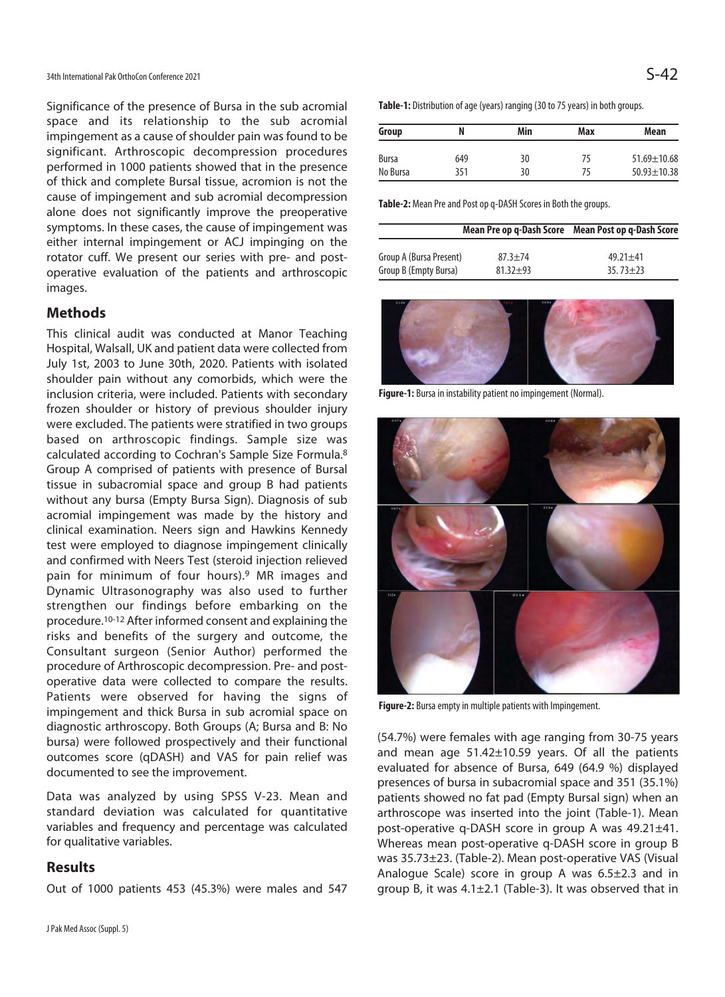Significance of the presence of Bursa in the sub acromial space and its relationship to the sub acromial impingement as a cause of shoulder pain was found to be significant. Arthroscopic decompression procedures performed in 1000 patients showed that in the presence of thick and complete Bursal tissue, acromion is not the cause of impingement and sub acromial decompression alone does not significantly improve the preoperative symptoms. In these cases, the cause of impingement was either internal impingement or ACJ impinging on the rotator cuff. We present our series with pre- and postoperative evaluation of the patients and arthroscopic images.

### **Methods**

This clinical audit was conducted at Manor Teaching Hospital, Walsall, UK and patient data were collected from July 1st, 2003 to June 30th, 2020. Patients with isolated shoulder pain without any comorbids, which were the inclusion criteria, were included. Patients with secondary frozen shoulder or history of previous shoulder injury were excluded. The patients were stratified in two groups based on arthroscopic findings. Sample size was calculated according to Cochran's Sample Size Formula.8 Group A comprised of patients with presence of Bursal tissue in subacromial space and group B had patients without any bursa (Empty Bursa Sign). Diagnosis of sub acromial impingement was made by the history and clinical examination. Neers sign and Hawkins Kennedy test were employed to diagnose impingement clinically and confirmed with Neers Test (steroid injection relieved pain for minimum of four hours).9 MR images and Dynamic Ultrasonography was also used to further strengthen our findings before embarking on the procedure.10-12 After informed consent and explaining the risks and benefits of the surgery and outcome, the Consultant surgeon (Senior Author) performed the procedure of Arthroscopic decompression. Pre- and postoperative data were collected to compare the results. Patients were observed for having the signs of impingement and thick Bursa in sub acromial space on diagnostic arthroscopy. Both Groups (A; Bursa and B: No bursa) were followed prospectively and their functional outcomes score (qDASH) and VAS for pain relief was documented to see the improvement.

Data was analyzed by using SPSS V-23. Mean and standard deviation was calculated for quantitative variables and frequency and percentage was calculated for qualitative variables.

#### **Results**

Out of 1000 patients 453 (45.3%) were males and 547

**Table-1:** Distribution of age (years) ranging (30 to 75 years) in both groups.

| Group    |     | Min | Max | Mean              |
|----------|-----|-----|-----|-------------------|
| Bursa    | 649 | 30  | 75  | $51.69 \pm 10.68$ |
| No Bursa | 351 | 30  | 75  | $50.93 \pm 10.38$ |

**Table-2:** Mean Pre and Post op q-DASH Scores in Both the groups.

|                         |              | Mean Pre op q-Dash Score Mean Post op q-Dash Score |  |  |
|-------------------------|--------------|----------------------------------------------------|--|--|
| Group A (Bursa Present) | $87.3 + 74$  | $49.21 \pm 41$                                     |  |  |
| Group B (Empty Bursa)   | $81.32 + 93$ | $35.73 \pm 23$                                     |  |  |



**Figure-1:** Bursa in instability patient no impingement (Normal).



**Figure-2:** Bursa empty in multiple patients with Impingement.

(54.7%) were females with age ranging from 30-75 years and mean age 51.42±10.59 years. Of all the patients evaluated for absence of Bursa, 649 (64.9 %) displayed presences of bursa in subacromial space and 351 (35.1%) patients showed no fat pad (Empty Bursal sign) when an arthroscope was inserted into the joint (Table-1). Mean post-operative q-DASH score in group A was 49.21±41. Whereas mean post-operative q-DASH score in group B was 35.73±23. (Table-2). Mean post-operative VAS (Visual Analogue Scale) score in group A was 6.5±2.3 and in group B, it was 4.1±2.1 (Table-3). It was observed that in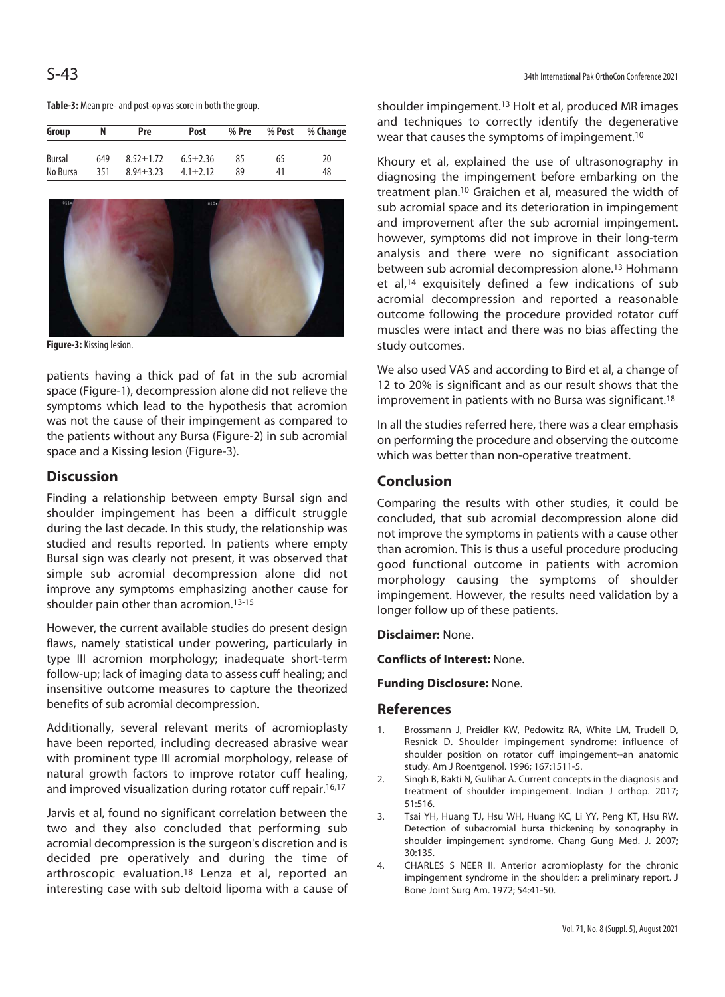| Group    | N   | Pre           | Post           | % Pre |    | % Post % Change |
|----------|-----|---------------|----------------|-------|----|-----------------|
| Bursal   | 649 | $8.52 + 1.72$ | $6.5 + 2.36$   | 85    | 65 | 20              |
| No Bursa | 351 | $8.94 + 3.23$ | $4.1 \pm 2.12$ | 89    | 41 | 48              |





**Figure-3:** Kissing lesion.

patients having a thick pad of fat in the sub acromial space (Figure-1), decompression alone did not relieve the symptoms which lead to the hypothesis that acromion was not the cause of their impingement as compared to the patients without any Bursa (Figure-2) in sub acromial space and a Kissing lesion (Figure-3).

## **Discussion**

Finding a relationship between empty Bursal sign and shoulder impingement has been a difficult struggle during the last decade. In this study, the relationship was studied and results reported. In patients where empty Bursal sign was clearly not present, it was observed that simple sub acromial decompression alone did not improve any symptoms emphasizing another cause for shoulder pain other than acromion.<sup>13-15</sup>

However, the current available studies do present design flaws, namely statistical under powering, particularly in type III acromion morphology; inadequate short-term follow-up; lack of imaging data to assess cuff healing; and insensitive outcome measures to capture the theorized benefits of sub acromial decompression.

Additionally, several relevant merits of acromioplasty have been reported, including decreased abrasive wear with prominent type III acromial morphology, release of natural growth factors to improve rotator cuff healing, and improved visualization during rotator cuff repair.<sup>16,17</sup>

Jarvis et al, found no significant correlation between the two and they also concluded that performing sub acromial decompression is the surgeon's discretion and is decided pre operatively and during the time of arthroscopic evaluation.18 Lenza et al, reported an interesting case with sub deltoid lipoma with a cause of shoulder impingement.13 Holt et al, produced MR images and techniques to correctly identify the degenerative wear that causes the symptoms of impingement.10

Khoury et al, explained the use of ultrasonography in diagnosing the impingement before embarking on the treatment plan.10 Graichen et al, measured the width of sub acromial space and its deterioration in impingement and improvement after the sub acromial impingement. however, symptoms did not improve in their long-term analysis and there were no significant association between sub acromial decompression alone.13 Hohmann et al,14 exquisitely defined a few indications of sub acromial decompression and reported a reasonable outcome following the procedure provided rotator cuff muscles were intact and there was no bias affecting the study outcomes.

We also used VAS and according to Bird et al, a change of 12 to 20% is significant and as our result shows that the improvement in patients with no Bursa was significant.18

In all the studies referred here, there was a clear emphasis on performing the procedure and observing the outcome which was better than non-operative treatment.

## **Conclusion**

Comparing the results with other studies, it could be concluded, that sub acromial decompression alone did not improve the symptoms in patients with a cause other than acromion. This is thus a useful procedure producing good functional outcome in patients with acromion morphology causing the symptoms of shoulder impingement. However, the results need validation by a longer follow up of these patients.

**Disclaimer:** None.

**Conflicts of Interest:** None.

**Funding Disclosure:** None.

#### **References**

- 1. Brossmann J, Preidler KW, Pedowitz RA, White LM, Trudell D, Resnick D. Shoulder impingement syndrome: influence of shoulder position on rotator cuff impingement--an anatomic study. Am J Roentgenol. 1996; 167:1511-5.
- 2. Singh B, Bakti N, Gulihar A. Current concepts in the diagnosis and treatment of shoulder impingement. Indian J orthop. 2017; 51:516.
- 3. Tsai YH, Huang TJ, Hsu WH, Huang KC, Li YY, Peng KT, Hsu RW. Detection of subacromial bursa thickening by sonography in shoulder impingement syndrome. Chang Gung Med. J. 2007; 30:135.
- 4. CHARLES S NEER II. Anterior acromioplasty for the chronic impingement syndrome in the shoulder: a preliminary report. J Bone Joint Surg Am. 1972; 54:41-50.